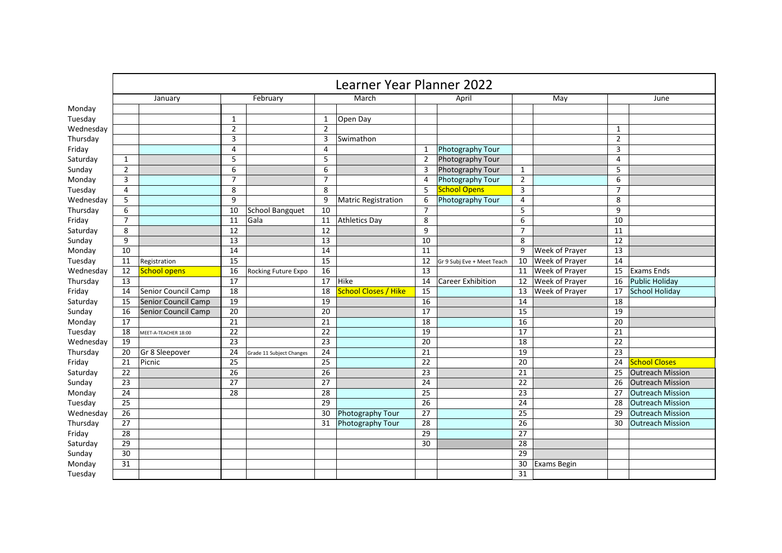|           | Learner Year Planner 2022 |                      |                 |                          |                 |                            |                 |                            |                 |                       |                 |                         |
|-----------|---------------------------|----------------------|-----------------|--------------------------|-----------------|----------------------------|-----------------|----------------------------|-----------------|-----------------------|-----------------|-------------------------|
|           | January                   |                      | February        |                          | March           |                            | April           |                            | May             |                       | June            |                         |
| Monday    |                           |                      |                 |                          |                 |                            |                 |                            |                 |                       |                 |                         |
| Tuesday   |                           |                      | 1               |                          | 1               | Open Day                   |                 |                            |                 |                       |                 |                         |
| Wednesday |                           |                      | $\overline{2}$  |                          | $\overline{2}$  |                            |                 |                            |                 |                       | $\mathbf{1}$    |                         |
| Thursday  |                           |                      | 3               |                          | 3               | Swimathon                  |                 |                            |                 |                       | $\overline{2}$  |                         |
| Friday    |                           |                      | 4               |                          | 4               |                            | 1               | <b>Photography Tour</b>    |                 |                       | 3               |                         |
| Saturday  | 1                         |                      | 5               |                          | 5               |                            | $\overline{2}$  | Photography Tour           |                 |                       | $\overline{4}$  |                         |
| Sunday    | $\overline{2}$            |                      | 6               |                          | 6               |                            | 3               | Photography Tour           | 1               |                       | 5               |                         |
| Monday    | 3                         |                      | $\overline{7}$  |                          | $\overline{7}$  |                            | $\overline{4}$  | Photography Tour           | $\overline{2}$  |                       | 6               |                         |
| Tuesday   | 4                         |                      | 8               |                          | 8               |                            | 5               | <b>School Opens</b>        | 3               |                       | $\overline{7}$  |                         |
| Wednesday | 5                         |                      | 9               |                          | 9               | <b>Matric Registration</b> | 6               | Photography Tour           | 4               |                       | 8               |                         |
| Thursday  | 6                         |                      | 10              | <b>School Bangquet</b>   | 10              |                            | $\overline{7}$  |                            | 5               |                       | 9               |                         |
| Friday    | $\overline{7}$            |                      | 11              | Gala                     | 11              | <b>Athletics Day</b>       | 8               |                            | 6               |                       | 10              |                         |
| Saturday  | 8                         |                      | 12              |                          | 12              |                            | 9               |                            | $\overline{7}$  |                       | 11              |                         |
| Sunday    | 9                         |                      | 13              |                          | $\overline{13}$ |                            | 10              |                            | 8               |                       | 12              |                         |
| Monday    | 10                        |                      | 14              |                          | 14              |                            | 11              |                            | 9               | <b>Week of Prayer</b> | 13              |                         |
| Tuesday   | 11                        | Registration         | $\overline{15}$ |                          | 15              |                            | 12              | Gr 9 Subj Eve + Meet Teach | 10              | <b>Week of Prayer</b> | $\overline{14}$ |                         |
| Wednesday | 12                        | <b>School opens</b>  | 16              | Rocking Future Expo      | 16              |                            | 13              |                            | 11              | Week of Prayer        | 15              | <b>Exams Ends</b>       |
| Thursday  | 13                        |                      | 17              |                          | 17              | <b>Hike</b>                | 14              | <b>Career Exhibition</b>   | 12              | <b>Week of Prayer</b> | 16              | <b>Public Holiday</b>   |
| Friday    | 14                        | Senior Council Camp  | $\overline{18}$ |                          | 18              | School Closes / Hike       | $\overline{15}$ |                            | 13              | <b>Week of Prayer</b> | 17              | <b>School Holiday</b>   |
| Saturday  | 15                        | Senior Council Camp  | 19              |                          | 19              |                            | 16              |                            | 14              |                       | 18              |                         |
| Sunday    | 16                        | Senior Council Camp  | 20              |                          | 20              |                            | $\overline{17}$ |                            | 15              |                       | $\overline{19}$ |                         |
| Monday    | 17                        |                      | 21              |                          | 21              |                            | 18              |                            | 16              |                       | 20              |                         |
| Tuesday   | 18                        | MEET-A-TEACHER 18:00 | 22              |                          | 22              |                            | 19              |                            | 17              |                       | 21              |                         |
| Wednesday | 19                        |                      | 23              |                          | 23              |                            | 20              |                            | 18              |                       | 22              |                         |
| Thursday  | 20                        | Gr 8 Sleepover       | 24              | Grade 11 Subject Changes | 24              |                            | 21              |                            | 19              |                       | 23              |                         |
| Friday    | 21                        | Picnic               | 25              |                          | 25              |                            | 22              |                            | 20              |                       | 24              | <b>School Closes</b>    |
| Saturday  | 22                        |                      | 26              |                          | 26              |                            | 23              |                            | 21              |                       | 25              | <b>Outreach Mission</b> |
| Sunday    | 23                        |                      | 27              |                          | 27              |                            | 24              |                            | 22              |                       | 26              | <b>Outreach Mission</b> |
| Monday    | 24                        |                      | 28              |                          | 28              |                            | 25              |                            | 23              |                       | 27              | <b>Outreach Mission</b> |
| Tuesday   | 25                        |                      |                 |                          | $\overline{29}$ |                            | $\overline{26}$ |                            | $\overline{24}$ |                       | 28              | <b>Outreach Mission</b> |
| Wednesday | 26                        |                      |                 |                          | 30              | Photography Tour           | 27              |                            | 25              |                       | 29              | <b>Outreach Mission</b> |
| Thursday  | 27                        |                      |                 |                          | 31              | Photography Tour           | 28              |                            | 26              |                       | 30              | <b>Outreach Mission</b> |
| Friday    | 28                        |                      |                 |                          |                 |                            | 29              |                            | 27              |                       |                 |                         |
| Saturday  | 29                        |                      |                 |                          |                 |                            | 30              |                            | 28              |                       |                 |                         |
| Sunday    | 30                        |                      |                 |                          |                 |                            |                 |                            | 29              |                       |                 |                         |
| Monday    | 31                        |                      |                 |                          |                 |                            |                 |                            | 30              | <b>Exams Begin</b>    |                 |                         |
| Tuesday   |                           |                      |                 |                          |                 |                            |                 |                            | 31              |                       |                 |                         |